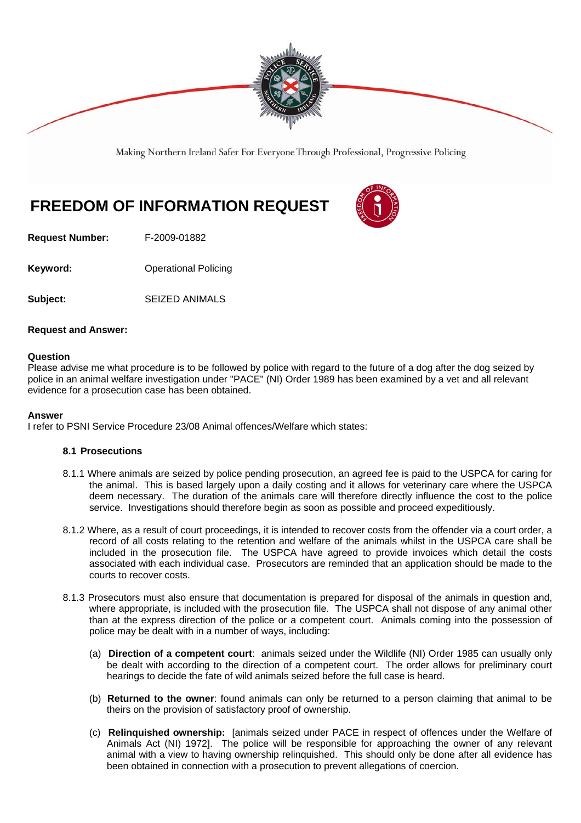

Making Northern Ireland Safer For Everyone Through Professional, Progressive Policing

# **FREEDOM OF INFORMATION REQUEST**



**Request Number:** F-2009-01882

**Keyword: Conservery Operational Policing** 

**Subject:** SEIZED ANIMALS

## **Request and Answer:**

### **Question**

Please advise me what procedure is to be followed by police with regard to the future of a dog after the dog seized by police in an animal welfare investigation under "PACE" (NI) Order 1989 has been examined by a vet and all relevant evidence for a prosecution case has been obtained.

#### **Answer**

I refer to PSNI Service Procedure 23/08 Animal offences/Welfare which states:

### **8.1 Prosecutions**

- 8.1.1 Where animals are seized by police pending prosecution, an agreed fee is paid to the USPCA for caring for the animal. This is based largely upon a daily costing and it allows for veterinary care where the USPCA deem necessary. The duration of the animals care will therefore directly influence the cost to the police service. Investigations should therefore begin as soon as possible and proceed expeditiously.
- 8.1.2 Where, as a result of court proceedings, it is intended to recover costs from the offender via a court order, a record of all costs relating to the retention and welfare of the animals whilst in the USPCA care shall be included in the prosecution file. The USPCA have agreed to provide invoices which detail the costs associated with each individual case. Prosecutors are reminded that an application should be made to the courts to recover costs.
- 8.1.3 Prosecutors must also ensure that documentation is prepared for disposal of the animals in question and, where appropriate, is included with the prosecution file. The USPCA shall not dispose of any animal other than at the express direction of the police or a competent court. Animals coming into the possession of police may be dealt with in a number of ways, including:
	- (a) **Direction of a competent court**: animals seized under the Wildlife (NI) Order 1985 can usually only be dealt with according to the direction of a competent court. The order allows for preliminary court hearings to decide the fate of wild animals seized before the full case is heard.
	- (b) **Returned to the owner**: found animals can only be returned to a person claiming that animal to be theirs on the provision of satisfactory proof of ownership.
	- (c) **Relinquished ownership:** [animals seized under PACE in respect of offences under the Welfare of Animals Act (NI) 1972]. The police will be responsible for approaching the owner of any relevant animal with a view to having ownership relinquished. This should only be done after all evidence has been obtained in connection with a prosecution to prevent allegations of coercion.